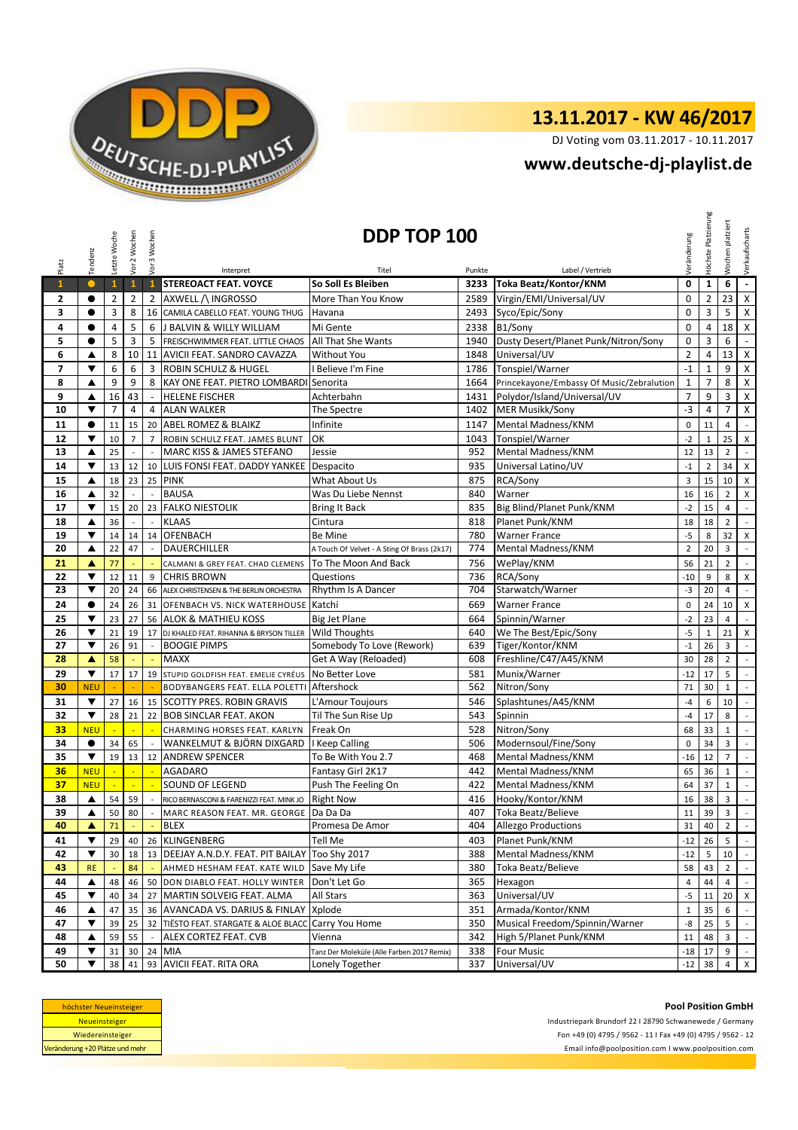

## **13.11.2017 - KW 46/2017**

DJ Voting vom 03.11.2017 - 10.11.2017

## **<www.deutsche-dj-playlist.de>**

|                | Tendenz                 | Letzte Woche   | Vor 2 Wochen             | Vor 3 Wochen             |                                           | DDP TOP 100                                 |        |                                           | Veränderung     | Höchste Platzierung | platziert<br>Wochen | Verkaufscharts              |
|----------------|-------------------------|----------------|--------------------------|--------------------------|-------------------------------------------|---------------------------------------------|--------|-------------------------------------------|-----------------|---------------------|---------------------|-----------------------------|
| Platz          |                         |                |                          |                          | Interpret                                 | Titel                                       | Punkte | Label / Vertrieb                          |                 |                     |                     |                             |
| $\mathbf{1}$   | $\bullet$               | $\mathbf{1}$   | $\mathbf{1}$             | $\mathbf{1}$             | STEREOACT FEAT. VOYCE                     | So Soll Es Bleiben                          | 3233   | Toka Beatz/Kontor/KNM                     | $\mathbf 0$     | $\mathbf{1}$        | 6                   | $\overline{\phantom{a}}$    |
| 2              | $\bullet$               | $\overline{2}$ | $\overline{2}$           | $\overline{2}$           | AXWELL /\ INGROSSO                        | More Than You Know                          | 2589   | Virgin/EMI/Universal/UV                   | $\mathbf 0$     | 2                   | 23                  | $\pmb{\mathsf{X}}$          |
| 3              | $\bullet$               | 3              | 8                        | 16                       | CAMILA CABELLO FEAT. YOUNG THUG           | Havana                                      | 2493   | Syco/Epic/Sony                            | $\mathbf 0$     | 3                   | 5                   | $\pmb{\times}$              |
| 4              | $\bullet$               | $\overline{4}$ | 5                        | 6                        | J BALVIN & WILLY WILLIAM                  | Mi Gente                                    | 2338   | B1/Sony                                   | $\mathbf 0$     | $\overline{4}$      | 18                  | $\pmb{\times}$              |
| 5              | $\bullet$               | 5              | 3                        | 5                        | FREISCHWIMMER FEAT. LITTLE CHAOS          | <b>All That She Wants</b>                   | 1940   | Dusty Desert/Planet Punk/Nitron/Sony      | $\mathbf 0$     | 3                   | 6                   | $\blacksquare$              |
| 6              | ▲                       | 8              | 10                       | 11                       | AVICII FEAT. SANDRO CAVAZZA               | Without You                                 | 1848   | Universal/UV                              | $\overline{2}$  | 4                   | 13                  | X                           |
| $\overline{7}$ | ▼                       | 6              | 6                        | 3                        | <b>ROBIN SCHULZ &amp; HUGEL</b>           | I Believe I'm Fine                          | 1786   | Tonspiel/Warner                           | $-1$            | $\mathbf 1$         | 9                   | $\pmb{\times}$              |
| 8              | ▲                       | 9              | 9                        | 8                        | KAY ONE FEAT. PIETRO LOMBARDI Senorita    |                                             | 1664   | Princekayone/Embassy Of Music/Zebralution | $\mathbf 1$     | $\overline{7}$      | 8                   | $\mathsf X$                 |
| 9              | ▲                       | 16             | 43                       | $\omega$                 | <b>HELENE FISCHER</b>                     | Achterbahn                                  | 1431   | Polydor/Island/Universal/UV               | $\overline{7}$  | 9                   | 3                   | $\mathsf X$                 |
| 10             | ▼                       | $\overline{7}$ | $\overline{4}$           | 4                        | <b>ALAN WALKER</b>                        | The Spectre                                 | 1402   | <b>MER Musikk/Sony</b>                    | $-3$            | 4                   | $\overline{7}$      | $\pmb{\times}$              |
| 11             | $\bullet$               | 11             | 15                       | 20                       | <b>ABEL ROMEZ &amp; BLAIKZ</b>            | Infinite                                    | 1147   | Mental Madness/KNM                        | 0               | 11                  | $\overline{4}$      | $\blacksquare$              |
| 12             | $\blacktriangledown$    | 10             | $\overline{7}$           | $\overline{7}$           | ROBIN SCHULZ FEAT. JAMES BLUNT            | OK                                          | 1043   | Tonspiel/Warner                           | $-2$            | $\mathbf 1$         | 25                  | $\pmb{\times}$              |
| 13             | ▲                       | 25             | $\overline{\phantom{a}}$ | $\mathbb{Z}^2$           | MARC KISS & JAMES STEFANO                 | Jessie                                      | 952    | Mental Madness/KNM                        | 12              | 13                  | $\overline{2}$      | $\sim$                      |
| 14             | ▼                       | 13             | 12                       | 10                       | LUIS FONSI FEAT. DADDY YANKEE             | Despacito                                   | 935    | Universal Latino/UV                       | $-1$            | $\mathbf 2$         | 34                  | X                           |
| 15             | ▲                       | 18             | 23                       | 25                       | <b>PINK</b>                               | What About Us                               | 875    | RCA/Sony                                  | $\overline{3}$  | 15                  | 10                  | $\pmb{\times}$              |
| 16             | ▲                       | 32             |                          |                          | <b>BAUSA</b>                              | Was Du Liebe Nennst                         | 840    | Warner                                    | 16              | 16                  | $\overline{2}$      | $\pmb{\times}$              |
| 17             | ▼                       | 15             | 20                       | 23                       | <b>FALKO NIESTOLIK</b>                    | <b>Bring It Back</b>                        | 835    | Big Blind/Planet Punk/KNM                 | $-2$            | 15                  | $\overline{4}$      | $\mathbb{Z}^+$              |
| 18             | ▲                       | 36             | $\overline{\phantom{a}}$ | $\overline{\phantom{a}}$ | <b>KLAAS</b>                              | Cintura                                     | 818    | Planet Punk/KNM                           | 18              | 18                  | $\overline{2}$      | $\sim$                      |
| 19             | ▼                       | 14             | 14                       | 14                       | <b>OFENBACH</b>                           | Be Mine                                     | 780    | <b>Warner France</b>                      | $-5$            | 8                   | 32                  | X                           |
| 20             | ▲                       | 22             | 47                       | $\mathbb{Z}^2$           | DAUERCHILLER                              | A Touch Of Velvet - A Sting Of Brass (2k17) | 774    | Mental Madness/KNM                        | $\overline{2}$  | 20                  | 3                   | $\sim$                      |
| 21             | ▲                       | 77             |                          |                          | CALMANI & GREY FEAT. CHAD CLEMENS         | To The Moon And Back                        | 756    | WePlay/KNM                                | 56              | 21                  | $\overline{2}$      | $\mathbb{L}$                |
| 22             | ▼                       | 12             | 11                       | 9                        | <b>CHRIS BROWN</b>                        | Questions                                   | 736    | RCA/Sony                                  | $-10$           | 9                   | 8                   | $\pmb{\times}$              |
| 23             | ▼                       | 20             | 24                       | 66                       | ALEX CHRISTENSEN & THE BERLIN ORCHESTRA   | Rhythm Is A Dancer                          | 704    | Starwatch/Warner                          | $-3$            | 20                  | $\overline{4}$      | $\mathbb{L}$                |
| 24             | $\bullet$               | 24             | 26                       | 31                       | OFENBACH VS. NICK WATERHOUSE              | Katchi                                      | 669    | <b>Warner France</b>                      | $\mathbf 0$     | 24                  | 10                  | X                           |
| 25             | ▼                       | 23             | 27                       | 56                       | <b>ALOK &amp; MATHIEU KOSS</b>            | <b>Big Jet Plane</b>                        | 664    | Spinnin/Warner                            | $-2$            | 23                  | 4                   | $\mathbb{R}^2$              |
| 26             | $\overline{\mathbf{v}}$ | 21             | 19                       | 17                       | DJ KHALED FEAT. RIHANNA & BRYSON TILLER   | Wild Thoughts                               | 640    | We The Best/Epic/Sony                     | $-5$            | $\mathbf 1$         | 21                  | X                           |
| 27             | ▼                       | 26             | 91                       | $\overline{\phantom{a}}$ | <b>BOOGIE PIMPS</b>                       | Somebody To Love (Rework)                   | 639    | Tiger/Kontor/KNM                          | $^{\rm -1}$     | 26                  | 3                   | $\sim$                      |
| 28             | ▲                       | 58             |                          | $\Box$                   | <b>MAXX</b>                               | Get A Way (Reloaded)                        | 608    | Freshline/C47/A45/KNM                     | 30              | 28                  | $\overline{2}$      | $\blacksquare$              |
| 29             | ▼                       | 17             | 17                       | 19                       | STUPID GOLDFISH FEAT. EMELIE CYRÉUS       | No Better Love                              | 581    | Munix/Warner                              | $-12$           | 17                  | 5                   | $\mathbb{R}^2$              |
| 30             | <b>NEU</b>              |                |                          |                          | BODYBANGERS FEAT. ELLA POLETTI            | Aftershock                                  | 562    | Nitron/Sony                               | 71              | 30                  | $\mathbf{1}$        | $\sim$                      |
| 31             | $\overline{\mathbf{v}}$ | 27             | 16                       | 15                       | <b>SCOTTY PRES. ROBIN GRAVIS</b>          | L'Amour Toujours                            | 546    | Splashtunes/A45/KNM                       | $-4$            | 6                   | 10                  | $\mathbb{Z}^{\mathbb{Z}}$   |
| 32             | $\blacktriangledown$    | 28             | 21                       | 22                       | <b>BOB SINCLAR FEAT. AKON</b>             | Til The Sun Rise Up                         | 543    | Spinnin                                   | $-4$            | 17                  | 8                   | $\overline{\phantom{a}}$    |
| 33             | <b>NEU</b>              | ÷,             | ×.                       | ч.                       | CHARMING HORSES FEAT. KARLYN              | Freak On                                    | 528    | Nitron/Sony                               | 68              | 33                  | $\mathbf{1}$        | $\sim$                      |
| 34             | $\bullet$               | 34             | 65                       | $\sim$                   | WANKELMUT & BJÖRN DIXGARD                 | I Keep Calling                              | 506    | Modernsoul/Fine/Sony                      | $\mathbf 0$     | 34                  | 3                   | $\mathcal{L}_{\mathcal{A}}$ |
| 35             | ▼                       | 19             | 13                       | 12                       | <b>ANDREW SPENCER</b>                     | To Be With You 2.7                          | 468    | <b>Mental Madness/KNM</b>                 | $-16$           | 12                  | $\overline{7}$      | $\overline{\phantom{a}}$    |
| 36             | <b>NEU</b>              | L.             |                          |                          | AGADARO                                   | Fantasy Girl 2K17                           | 442    | Mental Madness/KNM                        | 65              | 36                  | $\mathbf 1$         | $\mathbb{Z}^2$              |
| 37             | <b>NEU</b>              |                |                          |                          | <b>SOUND OF LEGEND</b>                    | Push The Feeling On                         | 422    | <b>Mental Madness/KNM</b>                 | 64              | 37                  | $\mathbf 1$         | $\mathbb{Z}^2$              |
| 38             | $\blacktriangle$        | 54             | 59                       | $\overline{\phantom{a}}$ | RICO BERNASCONI & FARENIZZI FEAT. MINK JO | <b>Right Now</b>                            | 416    | Hooky/Kontor/KNM                          | 16              | 38                  | 3                   | $\mathbb{Z}^2$              |
| 39             | ▲                       | 50             | 80                       | $\overline{\phantom{a}}$ | MARC REASON FEAT. MR. GEORGE   Da Da Da   |                                             | 407    | Toka Beatz/Believe                        | 11 <sup>1</sup> | 39                  | $\overline{3}$      | $\sim$                      |
| 40             | ▲                       | 71             |                          |                          | <b>BLEX</b>                               | Promesa De Amor                             | 404    | <b>Allezgo Productions</b>                | 31              | 40                  | $\overline{2}$      | $\sim$                      |
| 41             | ▼                       | 29             | 40                       | 26                       | <b>KLINGENBERG</b>                        | Tell Me                                     | 403    | Planet Punk/KNM                           | $-12$           | 26                  | 5                   | $\sim$                      |
| 42             | $\blacktriangledown$    | 30             | 18                       | 13                       | DEEJAY A.N.D.Y. FEAT. PIT BAILAY          | Too Shy 2017                                | 388    | Mental Madness/KNM                        | $-12$           | 5                   | 10                  | $\sim$                      |
| 43             | <b>RE</b>               |                | 84                       |                          | AHMED HESHAM FEAT. KATE WILD              | Save My Life                                | 380    | Toka Beatz/Believe                        | 58              | 43                  | $\overline{2}$      | $\mathcal{L}_{\mathcal{A}}$ |
| 44             | ▲                       | 48             | 46                       |                          | 50 DON DIABLO FEAT. HOLLY WINTER          | Don't Let Go                                | 365    | Hexagon                                   | $\overline{4}$  | 44                  | $\overline{4}$      | $\sim$                      |
| 45             | ▼                       | 40             | 34                       |                          | 27 MARTIN SOLVEIG FEAT. ALMA              | All Stars                                   | 363    | Universal/UV                              | $-5$            | 11                  | 20 <sub>1</sub>     | $\mathsf{x}$                |
| 46             | ▲                       | 47             | 35                       |                          | 36 AVANCADA VS. DARIUS & FINLAY           | Xplode                                      | 351    | Armada/Kontor/KNM                         | $\mathbf{1}$    | 35                  | 6                   | $\sim$                      |
| 47             | ▼                       | 39             | 25                       | 32                       | TIËSTO FEAT. STARGATE & ALOE BLACC        | Carry You Home                              | 350    | Musical Freedom/Spinnin/Warner            | -8              | 25                  | 5                   | $\sim$                      |
| 48             | ▲                       | 59             | 55                       |                          | ALEX CORTEZ FEAT. CVB                     | Vienna                                      | 342    | High 5/Planet Punk/KNM                    | 11              | 48                  | 3                   | $\sim$                      |
| 49             | ▼                       | 31             | 30                       | 24                       | <b>MIA</b>                                | Tanz Der Moleküle (Alle Farben 2017 Remix)  | 338    | <b>Four Music</b>                         | $-18$           | 17                  | 9                   | $\sim$                      |
| 50             | ▼                       | 38             | 41                       |                          | 93 AVICII FEAT. RITA ORA                  | <b>Lonely Together</b>                      | 337    | Universal/UV                              | $-12$           | 38                  | 4                   | $\mathsf{X}$                |

| höchster Neueinsteiger          |
|---------------------------------|
| <b>Neueinsteiger</b>            |
| Wiedereinsteiger                |
| Veränderung +20 Plätze und mehr |

Industriepark Brundorf 22 I 28790 Schwanewede / Germany Fon +49 (0) 4795 / 9562 - 11 I Fax +49 (0) 4795 / 9562 - 12 <Email info@poolposition.com I www.poolposition.com>

**Pool Position GmbH**